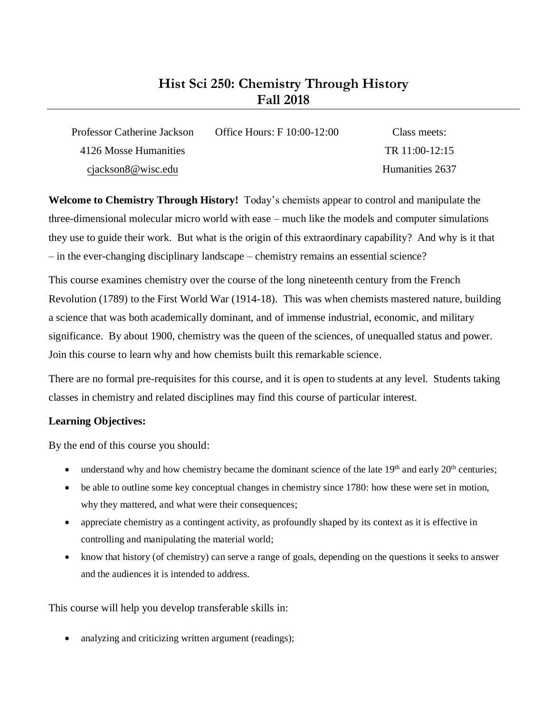# **Hist Sci 250: Chemistry Through History Fall 2018**

| Professor Catherine Jackson | Office Hours: F 10:00-12:00 | Class meets:     |
|-----------------------------|-----------------------------|------------------|
| 4126 Mosse Humanities       |                             | TR $11:00-12:15$ |
| cjackson8@wisc.edu          |                             | Humanities 2637  |

**Welcome to Chemistry Through History!** Today's chemists appear to control and manipulate the three-dimensional molecular micro world with ease – much like the models and computer simulations they use to guide their work. But what is the origin of this extraordinary capability? And why is it that – in the ever-changing disciplinary landscape – chemistry remains an essential science?

This course examines chemistry over the course of the long nineteenth century from the French Revolution (1789) to the First World War (1914-18). This was when chemists mastered nature, building a science that was both academically dominant, and of immense industrial, economic, and military significance. By about 1900, chemistry was the queen of the sciences, of unequalled status and power. Join this course to learn why and how chemists built this remarkable science.

There are no formal pre-requisites for this course, and it is open to students at any level. Students taking classes in chemistry and related disciplines may find this course of particular interest.

# **Learning Objectives:**

By the end of this course you should:

- understand why and how chemistry became the dominant science of the late 19<sup>th</sup> and early 20<sup>th</sup> centuries;
- be able to outline some key conceptual changes in chemistry since 1780: how these were set in motion, why they mattered, and what were their consequences;
- appreciate chemistry as a contingent activity, as profoundly shaped by its context as it is effective in controlling and manipulating the material world;
- know that history (of chemistry) can serve a range of goals, depending on the questions it seeks to answer and the audiences it is intended to address.

This course will help you develop transferable skills in:

analyzing and criticizing written argument (readings);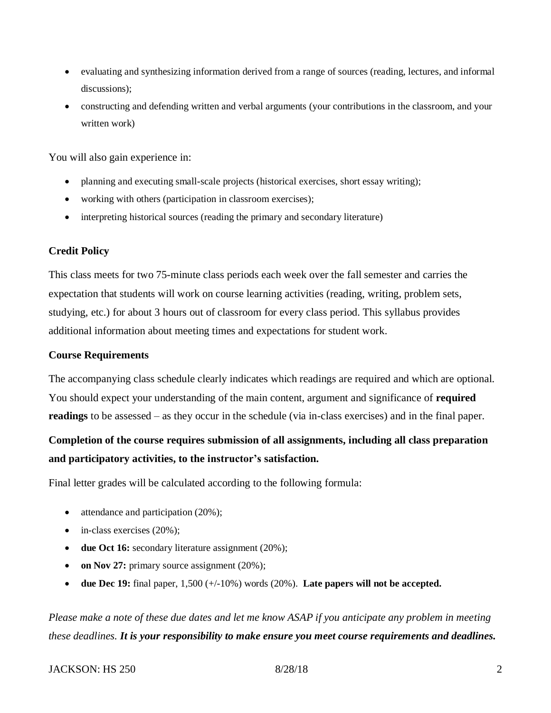- evaluating and synthesizing information derived from a range of sources (reading, lectures, and informal discussions);
- constructing and defending written and verbal arguments (your contributions in the classroom, and your written work)

You will also gain experience in:

- planning and executing small-scale projects (historical exercises, short essay writing);
- working with others (participation in classroom exercises);
- interpreting historical sources (reading the primary and secondary literature)

# **Credit Policy**

This class meets for two 75-minute class periods each week over the fall semester and carries the expectation that students will work on course learning activities (reading, writing, problem sets, studying, etc.) for about 3 hours out of classroom for every class period. This syllabus provides additional information about meeting times and expectations for student work.

#### **Course Requirements**

The accompanying class schedule clearly indicates which readings are required and which are optional. You should expect your understanding of the main content, argument and significance of **required readings** to be assessed – as they occur in the schedule (via in-class exercises) and in the final paper.

# **Completion of the course requires submission of all assignments, including all class preparation and participatory activities, to the instructor's satisfaction.**

Final letter grades will be calculated according to the following formula:

- attendance and participation (20%);
- in-class exercises (20%);
- **due Oct 16:** secondary literature assignment (20%);
- **on Nov 27:** primary source assignment (20%);
- **due Dec 19:** final paper, 1,500 (+/-10%) words (20%). **Late papers will not be accepted.**

*Please make a note of these due dates and let me know ASAP if you anticipate any problem in meeting these deadlines. It is your responsibility to make ensure you meet course requirements and deadlines.*

# JACKSON: HS 250 8/28/18 2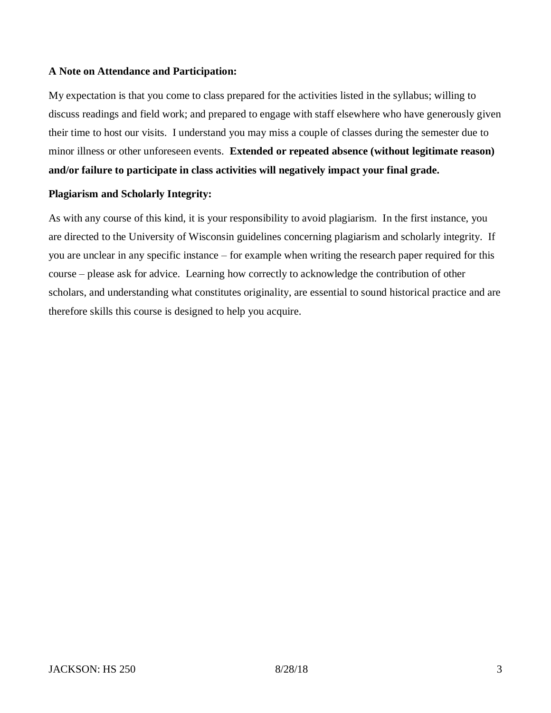# **A Note on Attendance and Participation:**

My expectation is that you come to class prepared for the activities listed in the syllabus; willing to discuss readings and field work; and prepared to engage with staff elsewhere who have generously given their time to host our visits. I understand you may miss a couple of classes during the semester due to minor illness or other unforeseen events. **Extended or repeated absence (without legitimate reason) and/or failure to participate in class activities will negatively impact your final grade.**

## **Plagiarism and Scholarly Integrity:**

As with any course of this kind, it is your responsibility to avoid plagiarism. In the first instance, you are directed to the University of Wisconsin guidelines concerning plagiarism and scholarly integrity. If you are unclear in any specific instance – for example when writing the research paper required for this course – please ask for advice. Learning how correctly to acknowledge the contribution of other scholars, and understanding what constitutes originality, are essential to sound historical practice and are therefore skills this course is designed to help you acquire.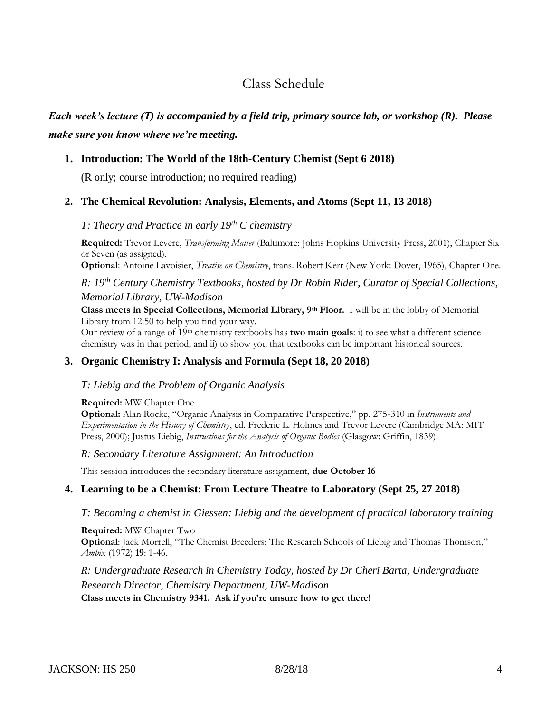*Each week's lecture (T) is accompanied by a field trip, primary source lab, or workshop (R). Please make sure you know where we're meeting.*

# **1. Introduction: The World of the 18th-Century Chemist (Sept 6 2018)**

(R only; course introduction; no required reading)

# **2. The Chemical Revolution: Analysis, Elements, and Atoms (Sept 11, 13 2018)**

# *T: Theory and Practice in early 19th C chemistry*

**Required:** Trevor Levere, *Transforming Matter* (Baltimore: Johns Hopkins University Press, 2001), Chapter Six or Seven (as assigned).

**Optional**: Antoine Lavoisier, *Treatise on Chemistry*, trans. Robert Kerr (New York: Dover, 1965), Chapter One.

*R: 19th Century Chemistry Textbooks, hosted by Dr Robin Rider, Curator of Special Collections, Memorial Library, UW-Madison*

**Class meets in Special Collections, Memorial Library, 9th Floor.** I will be in the lobby of Memorial Library from 12:50 to help you find your way.

Our review of a range of 19th chemistry textbooks has **two main goals**: i) to see what a different science chemistry was in that period; and ii) to show you that textbooks can be important historical sources.

# **3. Organic Chemistry I: Analysis and Formula (Sept 18, 20 2018)**

# *T: Liebig and the Problem of Organic Analysis*

#### **Required:** MW Chapter One

**Optional:** Alan Rocke, "Organic Analysis in Comparative Perspective," pp. 275-310 in *Instruments and Experimentation in the History of Chemistry*, ed. Frederic L. Holmes and Trevor Levere (Cambridge MA: MIT Press, 2000); Justus Liebig, *Instructions for the Analysis of Organic Bodies* (Glasgow: Griffin, 1839).

*R: Secondary Literature Assignment: An Introduction*

This session introduces the secondary literature assignment, **due October 16**

# **4. Learning to be a Chemist: From Lecture Theatre to Laboratory (Sept 25, 27 2018)**

# *T: Becoming a chemist in Giessen: Liebig and the development of practical laboratory training*

**Required:** MW Chapter Two **Optional**: Jack Morrell, "The Chemist Breeders: The Research Schools of Liebig and Thomas Thomson," *Ambix* (1972) **19**: 1-46.

*R: Undergraduate Research in Chemistry Today, hosted by Dr Cheri Barta, Undergraduate Research Director, Chemistry Department, UW-Madison* **Class meets in Chemistry 9341. Ask if you're unsure how to get there!**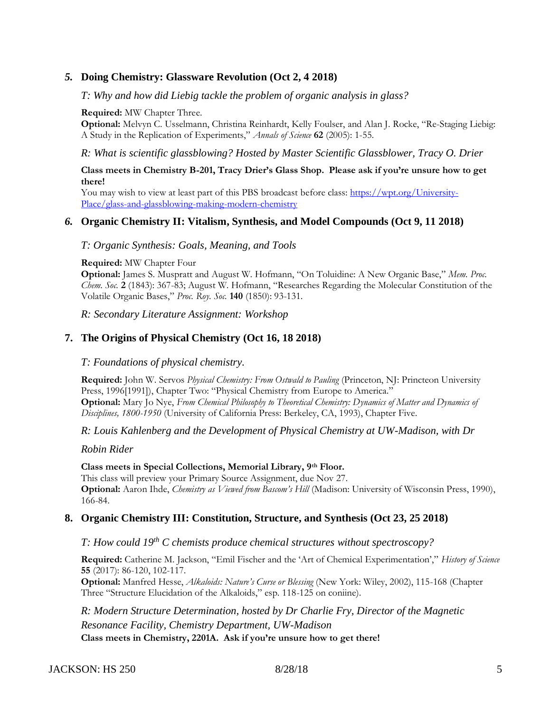# *5.* **Doing Chemistry: Glassware Revolution (Oct 2, 4 2018)**

#### *T: Why and how did Liebig tackle the problem of organic analysis in glass?*

#### **Required:** MW Chapter Three.

**Optional:** Melvyn C. Usselmann, Christina Reinhardt, Kelly Foulser, and Alan J. Rocke, "Re-Staging Liebig: A Study in the Replication of Experiments," *Annals of Science* **62** (2005): 1-55.

*R: What is scientific glassblowing? Hosted by Master Scientific Glassblower, Tracy O. Drier*

#### **Class meets in Chemistry B-201, Tracy Drier's Glass Shop. Please ask if you're unsure how to get there!**

You may wish to view at least part of this PBS broadcast before class: [https://wpt.org/University-](https://wpt.org/University-Place/glass-and-glassblowing-making-modern-chemistry)[Place/glass-and-glassblowing-making-modern-chemistry](https://wpt.org/University-Place/glass-and-glassblowing-making-modern-chemistry)

## *6.* **Organic Chemistry II: Vitalism, Synthesis, and Model Compounds (Oct 9, 11 2018)**

#### *T: Organic Synthesis: Goals, Meaning, and Tools*

#### **Required:** MW Chapter Four

**Optional:** James S. Muspratt and August W. Hofmann, "On Toluidine: A New Organic Base," *Mem. Proc. Chem. Soc.* **2** (1843): 367-83; August W. Hofmann, "Researches Regarding the Molecular Constitution of the Volatile Organic Bases," *Proc. Roy. Soc.* **140** (1850): 93-131.

*R: Secondary Literature Assignment: Workshop*

#### **7. The Origins of Physical Chemistry (Oct 16, 18 2018)**

#### *T: Foundations of physical chemistry.*

**Required:** John W. Servos *Physical Chemistry: From Ostwald to Pauling* (Princeton, NJ: Princteon University Press, 1996[1991]), Chapter Two: "Physical Chemistry from Europe to America." **Optional:** Mary Jo Nye, *From Chemical Philosophy to Theoretical Chemistry: Dynamics of Matter and Dynamics of Disciplines, 1800-1950* (University of California Press: Berkeley, CA, 1993), Chapter Five.

*R: Louis Kahlenberg and the Development of Physical Chemistry at UW-Madison, with Dr* 

#### *Robin Rider*

#### **Class meets in Special Collections, Memorial Library, 9th Floor.**

This class will preview your Primary Source Assignment, due Nov 27. **Optional:** Aaron Ihde, *Chemistry as Viewed from Bascom's Hill* (Madison: University of Wisconsin Press, 1990), 166-84.

#### **8. Organic Chemistry III: Constitution, Structure, and Synthesis (Oct 23, 25 2018)**

#### *T: How could 19th C chemists produce chemical structures without spectroscopy?*

**Required:** Catherine M. Jackson, "Emil Fischer and the 'Art of Chemical Experimentation'," *History of Science*  **55** (2017): 86-120, 102-117.

**Optional:** Manfred Hesse, *Alkaloids: Nature's Curse or Blessing* (New York: Wiley, 2002), 115-168 (Chapter Three "Structure Elucidation of the Alkaloids," esp. 118-125 on coniine).

*R: Modern Structure Determination, hosted by Dr Charlie Fry, Director of the Magnetic Resonance Facility, Chemistry Department, UW-Madison* **Class meets in Chemistry, 2201A. Ask if you're unsure how to get there!**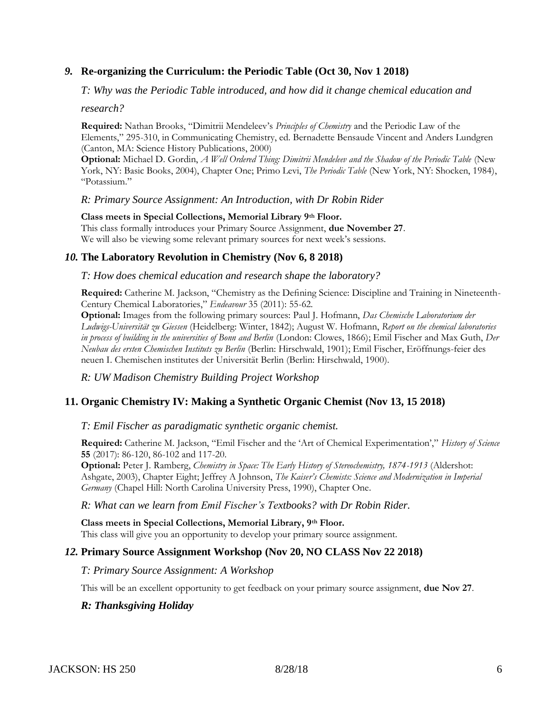# *9.* **Re-organizing the Curriculum: the Periodic Table (Oct 30, Nov 1 2018)**

*T: Why was the Periodic Table introduced, and how did it change chemical education and* 

*research?*

**Required:** Nathan Brooks, "Dimitrii Mendeleev's *Principles of Chemistry* and the Periodic Law of the Elements," 295-310, in Communicating Chemistry, ed. Bernadette Bensaude Vincent and Anders Lundgren (Canton, MA: Science History Publications, 2000)

**Optional:** Michael D. Gordin, *A Well Ordered Thing: Dimitrii Mendeleev and the Shadow of the Periodic Table* (New York, NY: Basic Books, 2004), Chapter One; Primo Levi, *The Periodic Table* (New York, NY: Shocken, 1984), "Potassium."

*R: Primary Source Assignment: An Introduction, with Dr Robin Rider*

**Class meets in Special Collections, Memorial Library 9th Floor.** This class formally introduces your Primary Source Assignment, **due November 27**. We will also be viewing some relevant primary sources for next week's sessions.

# *10.* **The Laboratory Revolution in Chemistry (Nov 6, 8 2018)**

*T: How does chemical education and research shape the laboratory?*

**Required:** Catherine M. Jackson, "Chemistry as the Defining Science: Discipline and Training in Nineteenth-Century Chemical Laboratories," *Endeavour* 35 (2011): 55-62.

**Optional:** Images from the following primary sources: Paul J. Hofmann, *Das Chemische Laboratorium der Ludwigs-Universität zu Giessen* (Heidelberg: Winter, 1842); August W. Hofmann, *Report on the chemical laboratories in process of building in the universities of Bonn and Berlin* (London: Clowes, 1866); Emil Fischer and Max Guth, *Der Neubau des ersten Chemischen Instituts zu Berlin* (Berlin: Hirschwald, 1901); Emil Fischer, Eröffnungs-feier des neuen I. Chemischen institutes der Universität Berlin (Berlin: Hirschwald, 1900).

*R: UW Madison Chemistry Building Project Workshop*

# **11. Organic Chemistry IV: Making a Synthetic Organic Chemist (Nov 13, 15 2018)**

# *T: Emil Fischer as paradigmatic synthetic organic chemist.*

**Required:** Catherine M. Jackson, "Emil Fischer and the 'Art of Chemical Experimentation'," *History of Science*  **55** (2017): 86-120, 86-102 and 117-20.

**Optional:** Peter J. Ramberg, *Chemistry in Space: The Early History of Stereochemistry, 1874-1913* (Aldershot: Ashgate, 2003), Chapter Eight; Jeffrey A Johnson, *The Kaiser's Chemists: Science and Modernization in Imperial Germany* (Chapel Hill: North Carolina University Press, 1990), Chapter One.

#### *R: What can we learn from Emil Fischer's Textbooks? with Dr Robin Rider.*

**Class meets in Special Collections, Memorial Library, 9th Floor.** This class will give you an opportunity to develop your primary source assignment.

# *12.* **Primary Source Assignment Workshop (Nov 20, NO CLASS Nov 22 2018)**

#### *T: Primary Source Assignment: A Workshop*

This will be an excellent opportunity to get feedback on your primary source assignment, **due Nov 27**.

# *R: Thanksgiving Holiday*